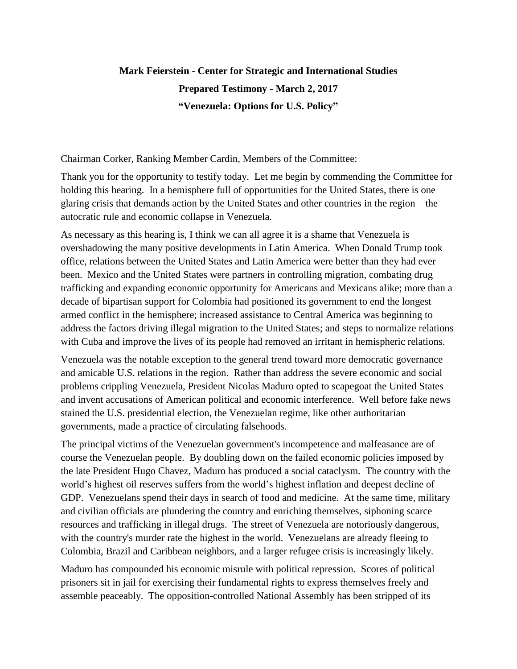## **Mark Feierstein - Center for Strategic and International Studies Prepared Testimony - March 2, 2017 "Venezuela: Options for U.S. Policy"**

Chairman Corker, Ranking Member Cardin, Members of the Committee:

Thank you for the opportunity to testify today. Let me begin by commending the Committee for holding this hearing. In a hemisphere full of opportunities for the United States, there is one glaring crisis that demands action by the United States and other countries in the region – the autocratic rule and economic collapse in Venezuela.

As necessary as this hearing is, I think we can all agree it is a shame that Venezuela is overshadowing the many positive developments in Latin America. When Donald Trump took office, relations between the United States and Latin America were better than they had ever been. Mexico and the United States were partners in controlling migration, combating drug trafficking and expanding economic opportunity for Americans and Mexicans alike; more than a decade of bipartisan support for Colombia had positioned its government to end the longest armed conflict in the hemisphere; increased assistance to Central America was beginning to address the factors driving illegal migration to the United States; and steps to normalize relations with Cuba and improve the lives of its people had removed an irritant in hemispheric relations.

Venezuela was the notable exception to the general trend toward more democratic governance and amicable U.S. relations in the region. Rather than address the severe economic and social problems crippling Venezuela, President Nicolas Maduro opted to scapegoat the United States and invent accusations of American political and economic interference. Well before fake news stained the U.S. presidential election, the Venezuelan regime, like other authoritarian governments, made a practice of circulating falsehoods.

The principal victims of the Venezuelan government's incompetence and malfeasance are of course the Venezuelan people. By doubling down on the failed economic policies imposed by the late President Hugo Chavez, Maduro has produced a social cataclysm. The country with the world's highest oil reserves suffers from the world's highest inflation and deepest decline of GDP. Venezuelans spend their days in search of food and medicine. At the same time, military and civilian officials are plundering the country and enriching themselves, siphoning scarce resources and trafficking in illegal drugs. The street of Venezuela are notoriously dangerous, with the country's murder rate the highest in the world. Venezuelans are already fleeing to Colombia, Brazil and Caribbean neighbors, and a larger refugee crisis is increasingly likely.

Maduro has compounded his economic misrule with political repression. Scores of political prisoners sit in jail for exercising their fundamental rights to express themselves freely and assemble peaceably. The opposition-controlled National Assembly has been stripped of its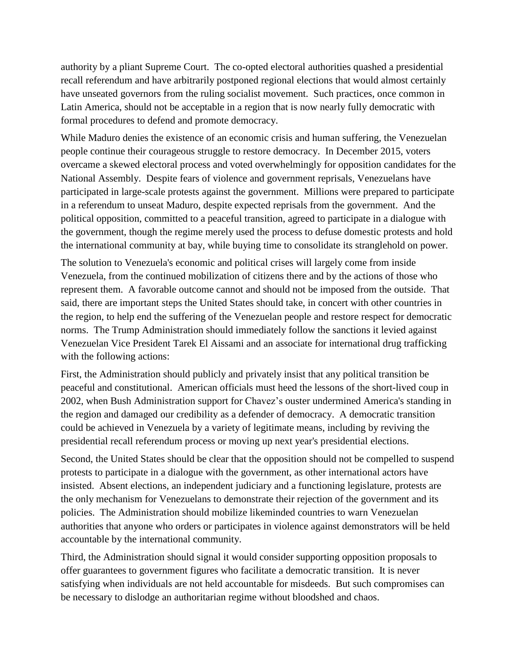authority by a pliant Supreme Court. The co-opted electoral authorities quashed a presidential recall referendum and have arbitrarily postponed regional elections that would almost certainly have unseated governors from the ruling socialist movement. Such practices, once common in Latin America, should not be acceptable in a region that is now nearly fully democratic with formal procedures to defend and promote democracy.

While Maduro denies the existence of an economic crisis and human suffering, the Venezuelan people continue their courageous struggle to restore democracy. In December 2015, voters overcame a skewed electoral process and voted overwhelmingly for opposition candidates for the National Assembly. Despite fears of violence and government reprisals, Venezuelans have participated in large-scale protests against the government. Millions were prepared to participate in a referendum to unseat Maduro, despite expected reprisals from the government. And the political opposition, committed to a peaceful transition, agreed to participate in a dialogue with the government, though the regime merely used the process to defuse domestic protests and hold the international community at bay, while buying time to consolidate its stranglehold on power.

The solution to Venezuela's economic and political crises will largely come from inside Venezuela, from the continued mobilization of citizens there and by the actions of those who represent them. A favorable outcome cannot and should not be imposed from the outside. That said, there are important steps the United States should take, in concert with other countries in the region, to help end the suffering of the Venezuelan people and restore respect for democratic norms. The Trump Administration should immediately follow the sanctions it levied against Venezuelan Vice President Tarek El Aissami and an associate for international drug trafficking with the following actions:

First, the Administration should publicly and privately insist that any political transition be peaceful and constitutional. American officials must heed the lessons of the short-lived coup in 2002, when Bush Administration support for Chavez's ouster undermined America's standing in the region and damaged our credibility as a defender of democracy. A democratic transition could be achieved in Venezuela by a variety of legitimate means, including by reviving the presidential recall referendum process or moving up next year's presidential elections.

Second, the United States should be clear that the opposition should not be compelled to suspend protests to participate in a dialogue with the government, as other international actors have insisted. Absent elections, an independent judiciary and a functioning legislature, protests are the only mechanism for Venezuelans to demonstrate their rejection of the government and its policies. The Administration should mobilize likeminded countries to warn Venezuelan authorities that anyone who orders or participates in violence against demonstrators will be held accountable by the international community.

Third, the Administration should signal it would consider supporting opposition proposals to offer guarantees to government figures who facilitate a democratic transition. It is never satisfying when individuals are not held accountable for misdeeds. But such compromises can be necessary to dislodge an authoritarian regime without bloodshed and chaos.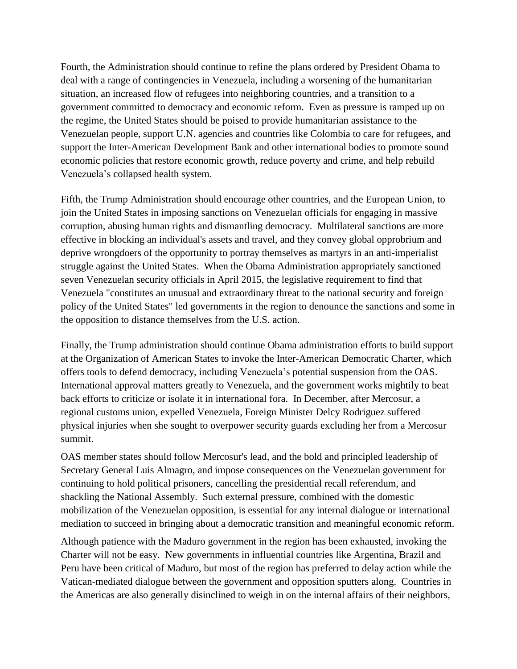Fourth, the Administration should continue to refine the plans ordered by President Obama to deal with a range of contingencies in Venezuela, including a worsening of the humanitarian situation, an increased flow of refugees into neighboring countries, and a transition to a government committed to democracy and economic reform. Even as pressure is ramped up on the regime, the United States should be poised to provide humanitarian assistance to the Venezuelan people, support U.N. agencies and countries like Colombia to care for refugees, and support the Inter-American Development Bank and other international bodies to promote sound economic policies that restore economic growth, reduce poverty and crime, and help rebuild Venezuela's collapsed health system.

Fifth, the Trump Administration should encourage other countries, and the European Union, to join the United States in imposing sanctions on Venezuelan officials for engaging in massive corruption, abusing human rights and dismantling democracy. Multilateral sanctions are more effective in blocking an individual's assets and travel, and they convey global opprobrium and deprive wrongdoers of the opportunity to portray themselves as martyrs in an anti-imperialist struggle against the United States. When the Obama Administration appropriately sanctioned seven Venezuelan security officials in April 2015, the legislative requirement to find that Venezuela "constitutes an unusual and extraordinary threat to the national security and foreign policy of the United States" led governments in the region to denounce the sanctions and some in the opposition to distance themselves from the U.S. action.

Finally, the Trump administration should continue Obama administration efforts to build support at the Organization of American States to invoke the Inter-American Democratic Charter, which offers tools to defend democracy, including Venezuela's potential suspension from the OAS. International approval matters greatly to Venezuela, and the government works mightily to beat back efforts to criticize or isolate it in international fora. In December, after Mercosur, a regional customs union, expelled Venezuela, Foreign Minister Delcy Rodriguez suffered physical injuries when she sought to overpower security guards excluding her from a Mercosur summit.

OAS member states should follow Mercosur's lead, and the bold and principled leadership of Secretary General Luis Almagro, and impose consequences on the Venezuelan government for continuing to hold political prisoners, cancelling the presidential recall referendum, and shackling the National Assembly. Such external pressure, combined with the domestic mobilization of the Venezuelan opposition, is essential for any internal dialogue or international mediation to succeed in bringing about a democratic transition and meaningful economic reform.

Although patience with the Maduro government in the region has been exhausted, invoking the Charter will not be easy. New governments in influential countries like Argentina, Brazil and Peru have been critical of Maduro, but most of the region has preferred to delay action while the Vatican-mediated dialogue between the government and opposition sputters along. Countries in the Americas are also generally disinclined to weigh in on the internal affairs of their neighbors,